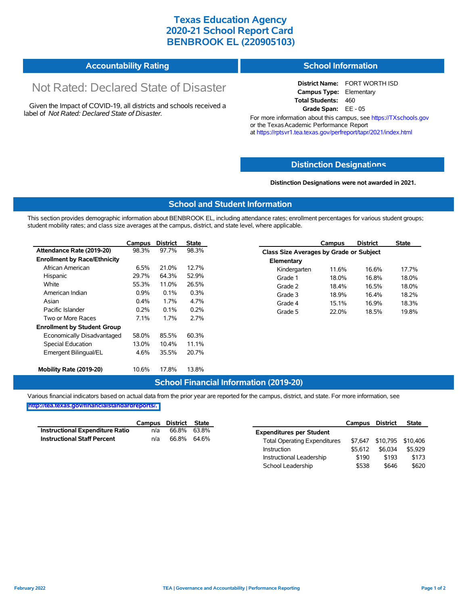## **Texas Education Agency 2020-21 School Report Card BENBROOK EL (220905103)**

|  | <b>Accountability Rating</b> | <b>School Information</b> |
|--|------------------------------|---------------------------|
|--|------------------------------|---------------------------|

# Not Rated: Declared State of Disaster

Given the Impact of COVID-19, all districts and schools received a label of *Not Rated: Declared State of Disaster.*

**District Name:** FORT WORTH ISD **Campus Type:** Elementary **Total Students:** 460 **Grade Span:** EE - 05

For more information about this campus, see https://TXschools.gov or the Texas Academic Performance Report at https://rptsvr1.tea.texas.gov/perfreport/tapr/2021/index.html

#### **Distinction Designat[ions](https://TXschools.gov)**

**Distinction Designations were not awarded in 2021.**

School Leadership  $$538$  \$646 \$620

#### **School and Student Information**

This section provides demographic information about BENBROOK EL, including attendance rates; enrollment percentages for various student groups; student mobility rates; and class size averages at the campus, district, and state level, where applicable.

|                                     | Campus  | <b>District</b> | <b>State</b> |              | Campus                                  | <b>District</b> | <b>State</b> |  |
|-------------------------------------|---------|-----------------|--------------|--------------|-----------------------------------------|-----------------|--------------|--|
| Attendance Rate (2019-20)           | 98.3%   | 97.7%           | 98.3%        |              | Class Size Averages by Grade or Subject |                 |              |  |
| <b>Enrollment by Race/Ethnicity</b> |         |                 |              | Elementary   |                                         |                 |              |  |
| African American                    | 6.5%    | 21.0%           | 12.7%        | Kindergarten | 11.6%                                   | 16.6%           | 17.7%        |  |
| Hispanic                            | 29.7%   | 64.3%           | 52.9%        | Grade 1      | 18.0%                                   | 16.8%           | 18.0%        |  |
| White                               | 55.3%   | 11.0%           | 26.5%        | Grade 2      | 18.4%                                   | 16.5%           | 18.0%        |  |
| American Indian                     | $0.9\%$ | 0.1%            | 0.3%         | Grade 3      | 18.9%                                   | 16.4%           | 18.2%        |  |
| Asian                               | $0.4\%$ | 1.7%            | 4.7%         | Grade 4      | 15.1%                                   | 16.9%           | 18.3%        |  |
| Pacific Islander                    | 0.2%    | 0.1%            | 0.2%         | Grade 5      | 22.0%                                   | 18.5%           | 19.8%        |  |
| Two or More Races                   | 7.1%    | 1.7%            | 2.7%         |              |                                         |                 |              |  |
| <b>Enrollment by Student Group</b>  |         |                 |              |              |                                         |                 |              |  |
| Economically Disadvantaged          | 58.0%   | 85.5%           | 60.3%        |              |                                         |                 |              |  |
| Special Education                   | 13.0%   | 10.4%           | 11.1%        |              |                                         |                 |              |  |
| Emergent Bilingual/EL               | 4.6%    | 35.5%           | 20.7%        |              |                                         |                 |              |  |
|                                     |         |                 |              |              |                                         |                 |              |  |
| Mobility Rate (2019-20)             | 10.6%   | 17.8%           | 13.8%        |              |                                         |                 |              |  |

#### **School Financial Information (2019-20)**

Various financial indicators based on actual data from the prior year are reported for the campus, district, and state. For more information, see

**[http://tea.texas.gov/financialstandardreports/.](http://tea.texas.gov/financialstandardreports/)**

|                                        | Campus | District | State |                                     | Campus  | <b>District</b>           | <b>State</b> |
|----------------------------------------|--------|----------|-------|-------------------------------------|---------|---------------------------|--------------|
| <b>Instructional Expenditure Ratio</b> | n/a    | 66.8%    | 63.8% | <b>Expenditures per Student</b>     |         |                           |              |
| <b>Instructional Staff Percent</b>     | n/a    | 66.8%    | 64.6% | <b>Total Operating Expenditures</b> |         | \$7,647 \$10,795 \$10,406 |              |
|                                        |        |          |       | Instruction                         | \$5.612 | \$6.034                   | \$5.929      |
|                                        |        |          |       | Instructional Leadership            | \$190   | \$193                     | \$173        |